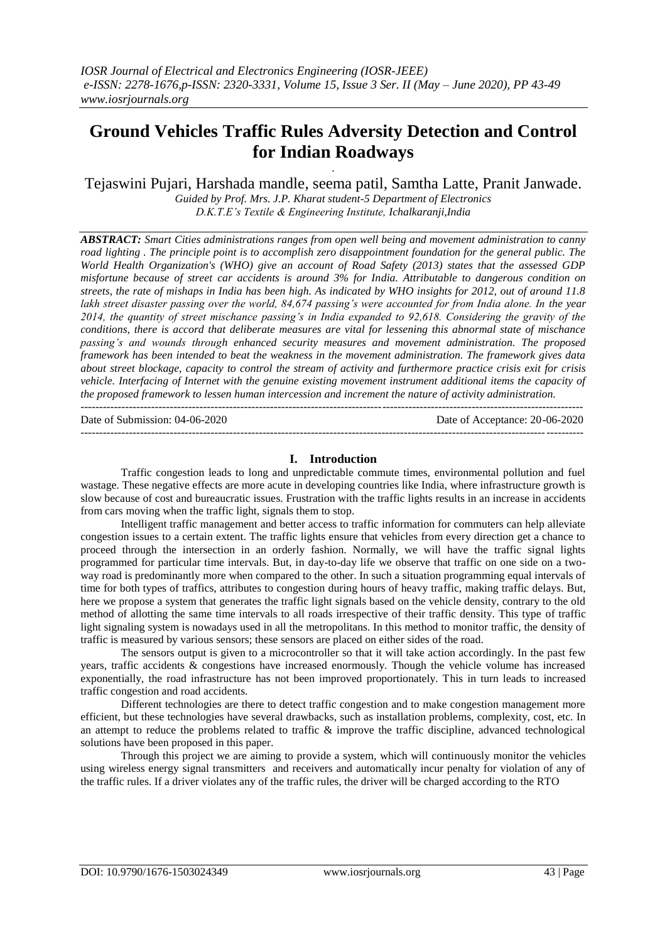# **Ground Vehicles Traffic Rules Adversity Detection and Control for Indian Roadways**

. Tejaswini Pujari, Harshada mandle, seema patil, Samtha Latte, Pranit Janwade.

> *Guided by Prof. Mrs. J.P. Kharat student-5 Department of Electronics D.K.T.E's Textile & Engineering Institute, Ichalkaranji,India*

*ABSTRACT: Smart Cities administrations ranges from open well being and movement administration to canny road lighting . The principle point is to accomplish zero disappointment foundation for the general public. The World Health Organization's (WHO) give an account of Road Safety (2013) states that the assessed GDP misfortune because of street car accidents is around 3% for India. Attributable to dangerous condition on streets, the rate of mishaps in India has been high. As indicated by WHO insights for 2012, out of around 11.8 lakh street disaster passing over the world, 84,674 passing's were accounted for from India alone. In the year 2014, the quantity of street mischance passing's in India expanded to 92,618. Considering the gravity of the conditions, there is accord that deliberate measures are vital for lessening this abnormal state of mischance passing's and wounds through enhanced security measures and movement administration. The proposed framework has been intended to beat the weakness in the movement administration. The framework gives data about street blockage, capacity to control the stream of activity and furthermore practice crisis exit for crisis vehicle. Interfacing of Internet with the genuine existing movement instrument additional items the capacity of the proposed framework to lessen human intercession and increment the nature of activity administration.*  $-1\leq i\leq n-1$ 

Date of Submission: 04-06-2020 Date of Acceptance: 20-06-2020

# --------------------------------------------------------------------------------------------------------------------------------------- **I. Introduction**

Traffic congestion leads to long and unpredictable commute times, environmental pollution and fuel wastage. These negative effects are more acute in developing countries like India, where infrastructure growth is slow because of cost and bureaucratic issues. Frustration with the traffic lights results in an increase in accidents from cars moving when the traffic light, signals them to stop.

Intelligent traffic management and better access to traffic information for commuters can help alleviate congestion issues to a certain extent. The traffic lights ensure that vehicles from every direction get a chance to proceed through the intersection in an orderly fashion. Normally, we will have the traffic signal lights programmed for particular time intervals. But, in day-to-day life we observe that traffic on one side on a twoway road is predominantly more when compared to the other. In such a situation programming equal intervals of time for both types of traffics, attributes to congestion during hours of heavy traffic, making traffic delays. But, here we propose a system that generates the traffic light signals based on the vehicle density, contrary to the old method of allotting the same time intervals to all roads irrespective of their traffic density. This type of traffic light signaling system is nowadays used in all the metropolitans. In this method to monitor traffic, the density of traffic is measured by various sensors; these sensors are placed on either sides of the road.

The sensors output is given to a microcontroller so that it will take action accordingly. In the past few years, traffic accidents & congestions have increased enormously. Though the vehicle volume has increased exponentially, the road infrastructure has not been improved proportionately. This in turn leads to increased traffic congestion and road accidents.

Different technologies are there to detect traffic congestion and to make congestion management more efficient, but these technologies have several drawbacks, such as installation problems, complexity, cost, etc. In an attempt to reduce the problems related to traffic & improve the traffic discipline, advanced technological solutions have been proposed in this paper.

Through this project we are aiming to provide a system, which will continuously monitor the vehicles using wireless energy signal transmitters and receivers and automatically incur penalty for violation of any of the traffic rules. If a driver violates any of the traffic rules, the driver will be charged according to the RTO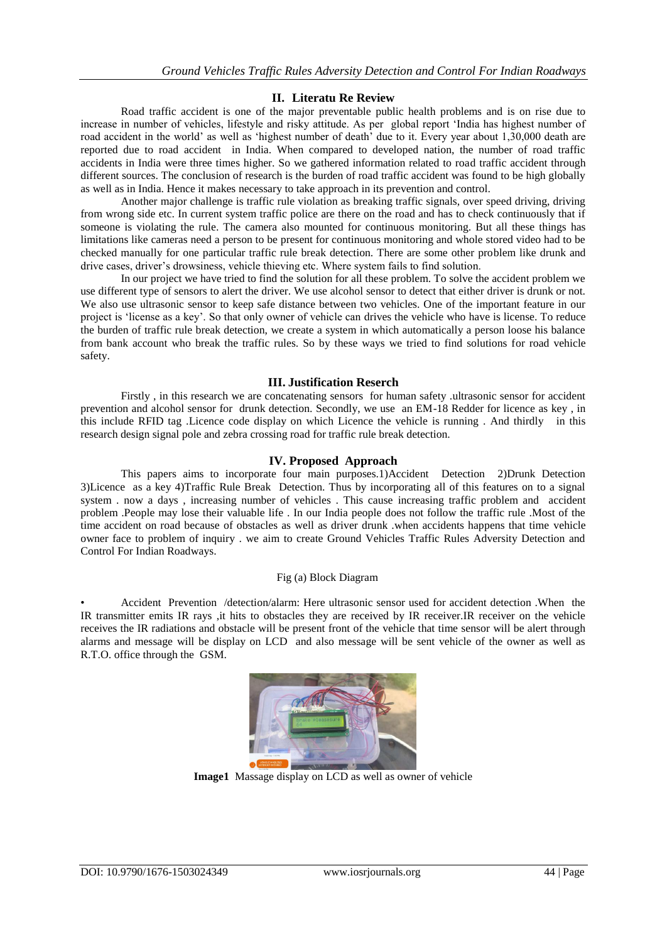# **II. Literatu Re Review**

Road traffic accident is one of the major preventable public health problems and is on rise due to increase in number of vehicles, lifestyle and risky attitude. As per global report "India has highest number of road accident in the world' as well as 'highest number of death' due to it. Every year about 1,30,000 death are reported due to road accident in India. When compared to developed nation, the number of road traffic accidents in India were three times higher. So we gathered information related to road traffic accident through different sources. The conclusion of research is the burden of road traffic accident was found to be high globally as well as in India. Hence it makes necessary to take approach in its prevention and control.

Another major challenge is traffic rule violation as breaking traffic signals, over speed driving, driving from wrong side etc. In current system traffic police are there on the road and has to check continuously that if someone is violating the rule. The camera also mounted for continuous monitoring. But all these things has limitations like cameras need a person to be present for continuous monitoring and whole stored video had to be checked manually for one particular traffic rule break detection. There are some other problem like drunk and drive cases, driver's drowsiness, vehicle thieving etc. Where system fails to find solution.

In our project we have tried to find the solution for all these problem. To solve the accident problem we use different type of sensors to alert the driver. We use alcohol sensor to detect that either driver is drunk or not. We also use ultrasonic sensor to keep safe distance between two vehicles. One of the important feature in our project is "license as a key". So that only owner of vehicle can drives the vehicle who have is license. To reduce the burden of traffic rule break detection, we create a system in which automatically a person loose his balance from bank account who break the traffic rules. So by these ways we tried to find solutions for road vehicle safety.

### **III. Justification Reserch**

Firstly , in this research we are concatenating sensors for human safety .ultrasonic sensor for accident prevention and alcohol sensor for drunk detection. Secondly, we use an EM-18 Redder for licence as key , in this include RFID tag .Licence code display on which Licence the vehicle is running . And thirdly in this research design signal pole and zebra crossing road for traffic rule break detection.

# **IV. Proposed Approach**

This papers aims to incorporate four main purposes.1)Accident Detection 2)Drunk Detection 3)Licence as a key 4)Traffic Rule Break Detection. Thus by incorporating all of this features on to a signal system . now a days , increasing number of vehicles . This cause increasing traffic problem and accident problem .People may lose their valuable life . In our India people does not follow the traffic rule .Most of the time accident on road because of obstacles as well as driver drunk .when accidents happens that time vehicle owner face to problem of inquiry . we aim to create Ground Vehicles Traffic Rules Adversity Detection and Control For Indian Roadways.

### Fig (a) Block Diagram

• Accident Prevention /detection/alarm: Here ultrasonic sensor used for accident detection .When the IR transmitter emits IR rays ,it hits to obstacles they are received by IR receiver.IR receiver on the vehicle receives the IR radiations and obstacle will be present front of the vehicle that time sensor will be alert through alarms and message will be display on LCD and also message will be sent vehicle of the owner as well as R.T.O. office through the GSM.



**Image1** Massage display on LCD as well as owner of vehicle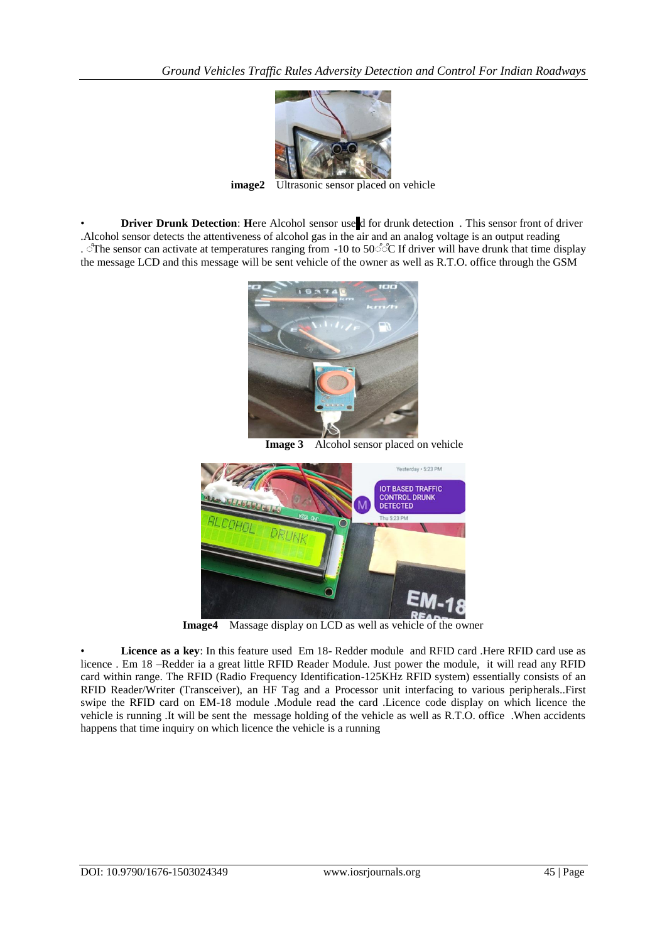

**image2** Ultrasonic sensor placed on vehicle

**Driver Drunk Detection: Here Alcohol sensor use d for drunk detection. This sensor front of driver** .Alcohol sensor detects the attentiveness of alcohol gas in the air and an analog voltage is an output reading . The sensor can activate at temperatures ranging from -10 to 50 °  $\degree$ C If driver will have drunk that time display the message LCD and this message will be sent vehicle of the owner as well as R.T.O. office through the GSM



**Image 3** Alcohol sensor placed on vehicle



**Image4** Massage display on LCD as well as vehicle of the owner

• **Licence as a key**: In this feature used Em 18- Redder module and RFID card .Here RFID card use as licence . Em 18 –Redder ia a great little RFID Reader Module. Just power the module, it will read any RFID card within range. The RFID (Radio Frequency Identification-125KHz RFID system) essentially consists of an RFID Reader/Writer (Transceiver), an HF Tag and a Processor unit interfacing to various peripherals..First swipe the RFID card on EM-18 module .Module read the card .Licence code display on which licence the vehicle is running .It will be sent the message holding of the vehicle as well as R.T.O. office .When accidents happens that time inquiry on which licence the vehicle is a running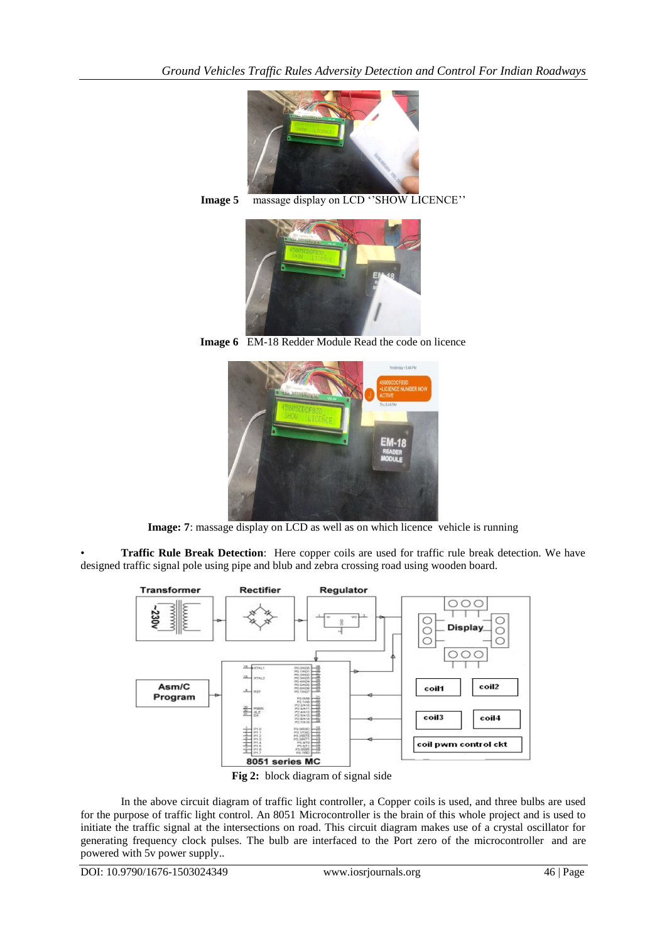

**Image 5** massage display on LCD "SHOW LICENCE"



**Image 6** EM-18 Redder Module Read the code on licence



**Image: 7**: massage display on LCD as well as on which licence vehicle is running

• **Traffic Rule Break Detection**: Here copper coils are used for traffic rule break detection. We have designed traffic signal pole using pipe and blub and zebra crossing road using wooden board.





In the above circuit diagram of traffic light controller, a Copper coils is used, and three bulbs are used for the purpose of traffic light control. An 8051 Microcontroller is the brain of this whole project and is used to initiate the traffic signal at the intersections on road. This circuit diagram makes use of a crystal oscillator for generating frequency clock pulses. The bulb are interfaced to the Port zero of the microcontroller and are powered with 5v power supply..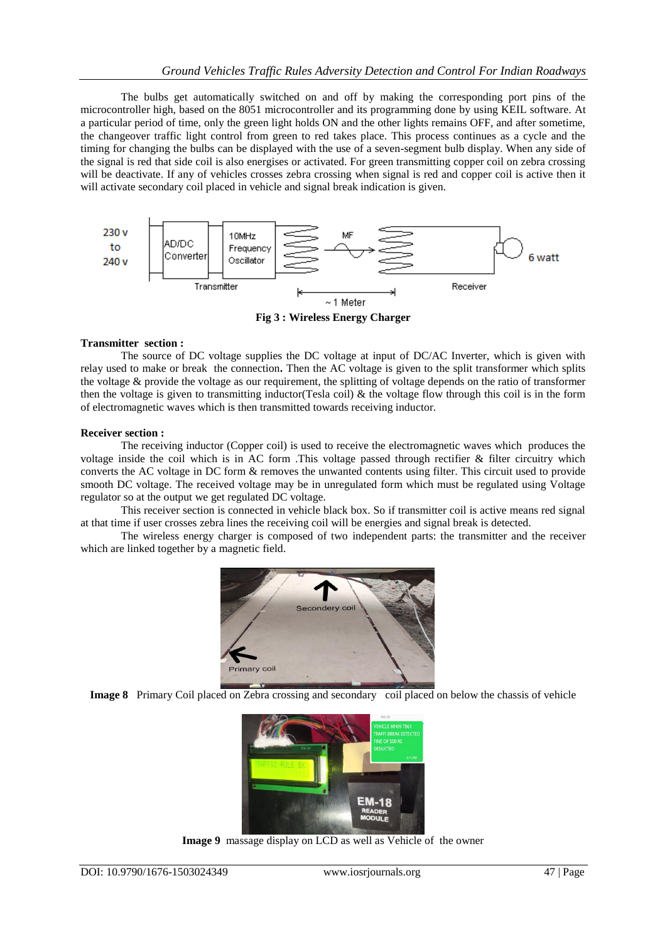The bulbs get automatically switched on and off by making the corresponding port pins of the microcontroller high, based on the 8051 microcontroller and its programming done by using KEIL software. At a particular period of time, only the green light holds ON and the other lights remains OFF, and after sometime, the changeover traffic light control from green to red takes place. This process continues as a cycle and the timing for changing the bulbs can be displayed with the use of a seven-segment bulb display. When any side of the signal is red that side coil is also energises or activated. For green transmitting copper coil on zebra crossing will be deactivate. If any of vehicles crosses zebra crossing when signal is red and copper coil is active then it will activate secondary coil placed in vehicle and signal break indication is given.



**Fig 3 : Wireless Energy Charger**

### **Transmitter section :**

The source of DC voltage supplies the DC voltage at input of DC/AC Inverter, which is given with relay used to make or break the connection**.** Then the AC voltage is given to the split transformer which splits the voltage & provide the voltage as our requirement, the splitting of voltage depends on the ratio of transformer then the voltage is given to transmitting inductor(Tesla coil)  $\&$  the voltage flow through this coil is in the form of electromagnetic waves which is then transmitted towards receiving inductor.

### **Receiver section :**

The receiving inductor (Copper coil) is used to receive the electromagnetic waves which produces the voltage inside the coil which is in AC form .This voltage passed through rectifier & filter circuitry which converts the AC voltage in DC form & removes the unwanted contents using filter. This circuit used to provide smooth DC voltage. The received voltage may be in unregulated form which must be regulated using Voltage regulator so at the output we get regulated DC voltage.

This receiver section is connected in vehicle black box. So if transmitter coil is active means red signal at that time if user crosses zebra lines the receiving coil will be energies and signal break is detected.

The wireless energy charger is composed of two independent parts: the transmitter and the receiver which are linked together by a magnetic field.



**Image 8** Primary Coil placed on Zebra crossing and secondary coil placed on below the chassis of vehicle



**Image 9** massage display on LCD as well as Vehicle of the owner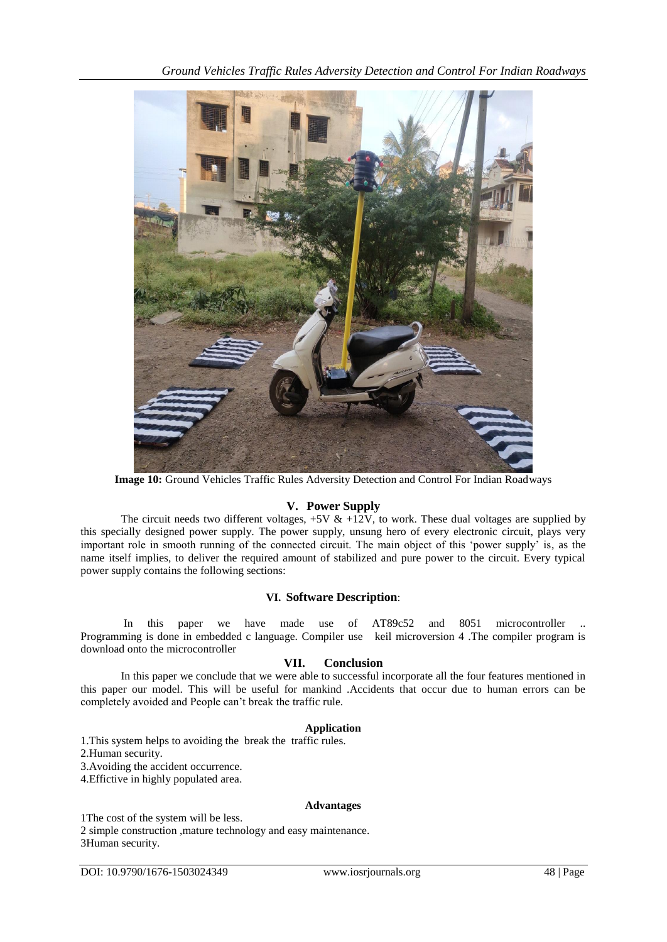

**Image 10:** Ground Vehicles Traffic Rules Adversity Detection and Control For Indian Roadways

# **V. Power Supply**

The circuit needs two different voltages,  $+5V \& +12V$ , to work. These dual voltages are supplied by this specially designed power supply. The power supply, unsung hero of every electronic circuit, plays very important role in smooth running of the connected circuit. The main object of this "power supply" is, as the name itself implies, to deliver the required amount of stabilized and pure power to the circuit. Every typical power supply contains the following sections:

# **VI. Software Description**:

In this paper we have made use of AT89c52 and 8051 microcontroller Programming is done in embedded c language. Compiler use keil microversion 4 .The compiler program is download onto the microcontroller

# **VII. Conclusion**

In this paper we conclude that we were able to successful incorporate all the four features mentioned in this paper our model. This will be useful for mankind .Accidents that occur due to human errors can be completely avoided and People can"t break the traffic rule.

# **Application**

1.This system helps to avoiding the break the traffic rules. 2.Human security. 3.Avoiding the accident occurrence. 4.Effictive in highly populated area.

### **Advantages**

1The cost of the system will be less.

2 simple construction ,mature technology and easy maintenance. 3Human security.